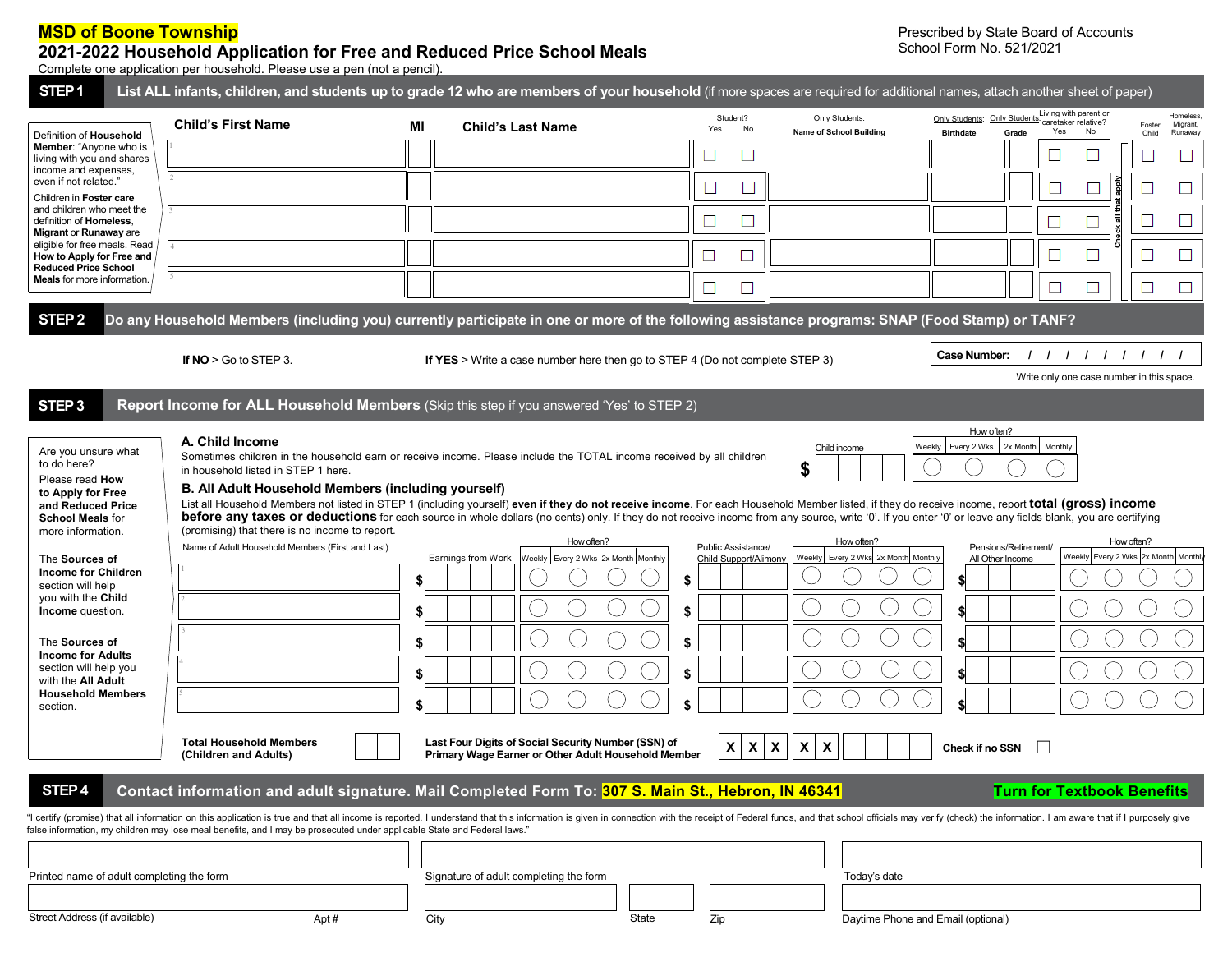## **MSD of Boone Township**

## **2021-2022 Household Application for Free and Reduced Price School Meals**

Prescribed by State Board of Accounts School Form No. 521/2021

Complete one application per household. Please use a pen (not a pencil).

| STEP <sub>1</sub>                                                                                                                                                                                                                                                                                                                                           | List ALL infants, children, and students up to grade 12 who are members of your household (if more spaces are required for additional names, attach another sheet of paper)                                                                                                                                                                 |                      |                                                                                                            |                                                                            |                                                                         |                                                                                                                                                                                                                                                                                                                                                                                                                                                                                                                                                                        |
|-------------------------------------------------------------------------------------------------------------------------------------------------------------------------------------------------------------------------------------------------------------------------------------------------------------------------------------------------------------|---------------------------------------------------------------------------------------------------------------------------------------------------------------------------------------------------------------------------------------------------------------------------------------------------------------------------------------------|----------------------|------------------------------------------------------------------------------------------------------------|----------------------------------------------------------------------------|-------------------------------------------------------------------------|------------------------------------------------------------------------------------------------------------------------------------------------------------------------------------------------------------------------------------------------------------------------------------------------------------------------------------------------------------------------------------------------------------------------------------------------------------------------------------------------------------------------------------------------------------------------|
| Definition of Household<br>Member: "Anyone who is<br>living with you and shares<br>income and expenses,<br>even if not related."                                                                                                                                                                                                                            | <b>Child's First Name</b>                                                                                                                                                                                                                                                                                                                   | МI                   | <b>Child's Last Name</b>                                                                                   | Student?<br>Yes<br>No                                                      | Only Students:<br>Name of School Building                               | Living with parent or<br>Homeless<br>Only Students: Only Students<br>caretaker relative?<br>Migrant,<br>Foster<br>No<br>Yes<br>Grade<br><b>Birthdate</b><br>Child<br>Runaway                                                                                                                                                                                                                                                                                                                                                                                           |
|                                                                                                                                                                                                                                                                                                                                                             |                                                                                                                                                                                                                                                                                                                                             |                      |                                                                                                            | O                                                                          |                                                                         | ⊔<br>⊔                                                                                                                                                                                                                                                                                                                                                                                                                                                                                                                                                                 |
|                                                                                                                                                                                                                                                                                                                                                             |                                                                                                                                                                                                                                                                                                                                             |                      |                                                                                                            |                                                                            |                                                                         | ddde<br>L                                                                                                                                                                                                                                                                                                                                                                                                                                                                                                                                                              |
| Children in Foster care<br>and children who meet the<br>definition of Homeless.                                                                                                                                                                                                                                                                             |                                                                                                                                                                                                                                                                                                                                             |                      |                                                                                                            | $\Box$                                                                     |                                                                         | ப                                                                                                                                                                                                                                                                                                                                                                                                                                                                                                                                                                      |
| Migrant or Runaway are<br>eligible for free meals. Read                                                                                                                                                                                                                                                                                                     |                                                                                                                                                                                                                                                                                                                                             |                      |                                                                                                            |                                                                            |                                                                         | Check all th                                                                                                                                                                                                                                                                                                                                                                                                                                                                                                                                                           |
| How to Apply for Free and<br><b>Reduced Price School</b>                                                                                                                                                                                                                                                                                                    |                                                                                                                                                                                                                                                                                                                                             |                      |                                                                                                            |                                                                            |                                                                         | □<br>⊔<br>⊔                                                                                                                                                                                                                                                                                                                                                                                                                                                                                                                                                            |
| <b>Meals</b> for more information.                                                                                                                                                                                                                                                                                                                          |                                                                                                                                                                                                                                                                                                                                             |                      |                                                                                                            |                                                                            |                                                                         |                                                                                                                                                                                                                                                                                                                                                                                                                                                                                                                                                                        |
| STEP <sub>2</sub>                                                                                                                                                                                                                                                                                                                                           | Do any Household Members (including you) currently participate in one or more of the following assistance programs: SNAP (Food Stamp) or TANF?                                                                                                                                                                                              |                      |                                                                                                            |                                                                            |                                                                         |                                                                                                                                                                                                                                                                                                                                                                                                                                                                                                                                                                        |
|                                                                                                                                                                                                                                                                                                                                                             | If $NO > Go$ to STEP 3.                                                                                                                                                                                                                                                                                                                     |                      | If YES > Write a case number here then go to STEP 4 (Do not complete STEP 3)                               |                                                                            |                                                                         | <b>Case Number:</b><br>1111111                                                                                                                                                                                                                                                                                                                                                                                                                                                                                                                                         |
|                                                                                                                                                                                                                                                                                                                                                             |                                                                                                                                                                                                                                                                                                                                             |                      |                                                                                                            |                                                                            |                                                                         | Write only one case number in this space.                                                                                                                                                                                                                                                                                                                                                                                                                                                                                                                              |
| STEP <sub>3</sub>                                                                                                                                                                                                                                                                                                                                           | Report Income for ALL Household Members (Skip this step if you answered 'Yes' to STEP 2)                                                                                                                                                                                                                                                    |                      |                                                                                                            |                                                                            |                                                                         |                                                                                                                                                                                                                                                                                                                                                                                                                                                                                                                                                                        |
| Are you unsure what<br>to do here?<br>Please read How<br>to Apply for Free<br>and Reduced Price<br><b>School Meals for</b><br>more information.<br>The Sources of<br><b>Income for Children</b><br>section will help<br>you with the Child<br>Income question.<br>The Sources of<br><b>Income for Adults</b><br>section will help you<br>with the All Adult | A. Child Income<br>Sometimes children in the household earn or receive income. Please include the TOTAL income received by all children<br>in household listed in STEP 1 here.<br>B. All Adult Household Members (including yourself)<br>(promising) that there is no income to report.<br>Name of Adult Household Members (First and Last) | \$<br>\$<br>\$<br>\$ | How often?<br>Earnings from Work<br>Weekly   Every 2 Wks 2x Month   Monthly                                | Public Assistance/<br><b>Child Support/Alimony</b><br>\$<br>\$<br>\$<br>\$ | Child income<br>\$<br>How often?<br>Weekly Every 2 Wks 2x Month Monthly | Every 2 Wks<br>2x Month<br>Monthly<br>Weekly<br>List all Household Members not listed in STEP 1 (including yourself) even if they do not receive income. For each Household Member listed, if they do receive income, report total (gross) income<br><b>before any taxes or deductions</b> for each source in whole dollars (no cents) only. If they do not receive income from any source, write '0'. If you enter '0' or leave any fields blank, you are certifying<br>How often?<br>Pensions/Retirement/<br>Weekly Every 2 Wks 2x Month Monthly<br>All Other Income |
| <b>Household Members</b><br>section.                                                                                                                                                                                                                                                                                                                        | <b>Total Household Members</b><br>(Children and Adults)                                                                                                                                                                                                                                                                                     |                      | Last Four Digits of Social Security Number (SSN) of<br>Primary Wage Earner or Other Adult Household Member | $\mathsf{x}$<br>$\mathbf{x}$                                               | $\boldsymbol{\mathsf{X}}$<br>$\mathbf{x}$<br>X                          | Check if no SSN                                                                                                                                                                                                                                                                                                                                                                                                                                                                                                                                                        |
| STEP <sub>4</sub>                                                                                                                                                                                                                                                                                                                                           | Contact information and adult signature. Mail Completed Form To: 307 S. Main St., Hebron, IN 46341                                                                                                                                                                                                                                          |                      |                                                                                                            |                                                                            |                                                                         | <b>Turn for Textbook Benefits</b>                                                                                                                                                                                                                                                                                                                                                                                                                                                                                                                                      |
|                                                                                                                                                                                                                                                                                                                                                             | false information, my children may lose meal benefits, and I may be prosecuted under applicable State and Federal laws."                                                                                                                                                                                                                    |                      |                                                                                                            |                                                                            |                                                                         | "I certify (promise) that all information on this application is true and that all income is reported. I understand that this information is given in connection with the receipt of Federal funds, and that school officials                                                                                                                                                                                                                                                                                                                                          |
|                                                                                                                                                                                                                                                                                                                                                             |                                                                                                                                                                                                                                                                                                                                             |                      |                                                                                                            |                                                                            | Today's date                                                            |                                                                                                                                                                                                                                                                                                                                                                                                                                                                                                                                                                        |
| Printed name of adult completing the form                                                                                                                                                                                                                                                                                                                   |                                                                                                                                                                                                                                                                                                                                             |                      | Signature of adult completing the form                                                                     |                                                                            |                                                                         |                                                                                                                                                                                                                                                                                                                                                                                                                                                                                                                                                                        |
| Street Address (if available)                                                                                                                                                                                                                                                                                                                               | Apt#                                                                                                                                                                                                                                                                                                                                        |                      | City                                                                                                       | Zip<br>State                                                               |                                                                         | Daytime Phone and Email (optional)                                                                                                                                                                                                                                                                                                                                                                                                                                                                                                                                     |